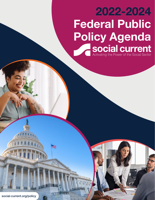## 2022-2024 Federal Public **Policy Agenda<br>Social current<br>Activating the Power of the Social Sector**

Page 1 | *social-current.org/policy*

social-current.org/policy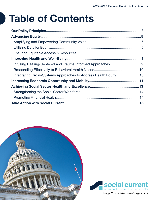## Table of Contents

| Integrating Cross-Systems Approaches to Address Health Equity10 |
|-----------------------------------------------------------------|
|                                                                 |
|                                                                 |
|                                                                 |
|                                                                 |
|                                                                 |
|                                                                 |



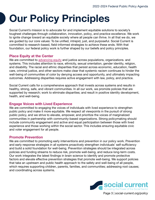## <span id="page-2-0"></span>Our Policy Principles

Social Current's mission is to advocate for and implement equitable solutions to society's toughest challenges through collaboration, innovation, policy, and practice excellence. We work to ignite change toward an equitable society where all people can thrive. In all that we do, we are guided by our core values: To be unified, intrepid, just, and purposeful. Social Current is committed to research-based, field-informed strategies to achieve these ends. With that foundation, our federal policy work is further shaped by our beliefs and policy principles.

### Place Equity at the Center

We are committed to [advancing equity](https://www.social-current.org/wp-content/uploads/2021/06/Nonprofit-Racial-Justice-Statement-6-4-21.pdf) and justice across populations, organizations, and systems. This includes attention to race, ethnicity, sexual orientation, gender identity, religion, and disability. The racial and ethnic disparities that persist across economic, education, health care, criminal justice, and other sectors make clear that systemic racism continues to hinder the well-being of communities of color by denying access and opportunity, and ultimately impacting outcomes. Addressing disparities requires active engagement with law, policy, and practice.

Social Current calls for a comprehensive approach that invests across systems and results in healthy, strong, safe, and vibrant communities. In all our work, we promote policies that are supported by research; work to eliminate disparities; and result in positive identity development, health, and well-being.

### Engage Voices with Lived Experience

We are committed to engaging the voices of individuals with lived experience to strengthen public policy and make it more equitable. We respect all viewpoints in the pursuit of strong public policy, and we strive to elevate, empower, and prioritize the voices of marginalized communities in partnership with community-based organizations. Strong policymaking should include community engagement and active and equal participation between those with lived experience and those working within the social sector. This includes ensuring equitable civic and voter engagement for all people.

### Promote Prevention

We are committed to promoting early interventions and prevention in our policy work. Prevention and early response strategies in all systems proactively strengthen individuals' self-sufficiency and build a solid foundation for well-being. Prevention strategies should be integrated across policies and funding streams to reduce risk, promote well-being, and reduce long-term costs. Our work integrates the latest findings in brain science to identify and promote protective factors and elevate effective prevention strategies that promote well-being. We support policies that take an upstream and public health approach to the safety and well-being of all people, which requires supporting children, parents, families, and communities; addressing root causes; and coordinating across systems.

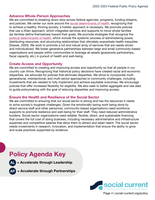#### Advance Whole-Person Approaches

We are committed to breaking down silos across federal agencies, programs, funding streams, and policies. We center our work around the [social determinants of health](https://health.gov/healthypeople/objectives-and-data/social-determinants-health), recognizing that to achieve a healthy, thriving society, a holistic approach is necessary. We promote policies that use a 2Gen approach, which integrates services and supports to move whole families (as families define themselves) toward their goals. We promote strategies that recognize the [political determinants of health](https://satcherinstitute.org/priorities/political-determinants-of-health/), which include the systemic process of administering power, distributing resources, and structuring relationships that ultimately exacerbate health inequities (Dawes, 2020). We work to promote a full and robust array of services that are needs-driven and individualized. We foster generative partnerships between large and small community-based organizations and people within communities to leverage all assets (grassroots partnerships, fiscal capacity, etc.) in pursuit of health and well-being.

### Create Access and Opportunity

We are committed to creating and improving access and opportunity so that all people in our country can thrive. Recognizing that historical policy decisions have created racial and economic disparities, we advocate for policies that eliminate disparities. We strive to incorporate multigenerational, intersectional, and multi-sector approaches to community challenges, including investments that are needed to fully implement and achieve equitable outcomes. We encourage policies that offer increased flexibility for eligibility. We also seek to better aggregate and use data to guide policymaking with the goal of reducing disparities and improving access.

### Ensure the Health and Resilience of the Social Sector

We are committed to ensuring that our social sector is strong and has the resources it needs to solve society's toughest challenges. Given the emotionally taxing work being done by direct-service staff and other personnel, community-based organizations need workforce supports to promote resilience and well-being for their staff. They need reduced administrative burdens. Social sector organizations need reliable, flexible, direct, and sustainable financing that covers the full cost of doing business, including necessary administrative and infrastructure expenses and competitive salaries that allow them to attract and retain talent. The social sector needs investments in research, innovation, and implementation that ensure the ability to grow and scale practices supported by evidence.

### Policy Agenda Key





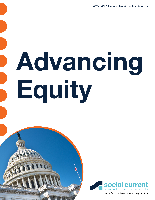2022-2024 Federal Public Policy Agenda

# <span id="page-4-0"></span>Advancing Equity



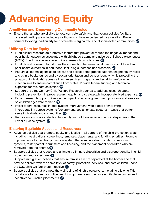## <span id="page-5-0"></span>Advancing Equity

### Amplifying and Empowering Community Voice

• Ensure that all who are eligible to vote can vote safely and that voting policies facilitate increased participation, including for those who have experienced incarceration. Prevent barriers to voting, particularly for historically marginalized and disconnected communities. AP

### Utilizing Data for Equity

- Fund clinical research on protective factors that prevent or reduce the negative impact and poor health outcomes associated with childhood trauma and adverse childhood experiences (ACEs). Fund more asset-based clinical research on outcomes. AL
- Fund clinical research that studies the connection between racial trauma in childhood and poor health outcomes in adulthood, including substance use disorders. AP
- Require all federal agencies to assess and collect demographic data that segments by racial and ethnic backgrounds and by sexual orientation and gender identity (while protecting the privacy of individuals), across all human services programs and establish enforcement mechanisms to ensure compliance from states. Provide federal funding and technical expertise for this data collection. AP
- Support the 21st-Century Child Welfare Research agenda to address research gaps, including prevention; improve research equity; and strategically incorporate lived expertise. AP
- Expand research opportunities on the impact of various government programs and services on children ages zero to three. AP
- Invest federal resources in data system improvement, with a goal of improving interoperability across systems (government, social, private sectors) in ways that better serve individuals and communities. AP
- Require uniform data collection to identify and address racial and ethnic disparities in the juvenile justice system. AP

### Ensuring Equitable Access and Resources

- Advance policies that promote equity and justice in all corners of the child protection system including investigations, screenings, removals, placements, and funding priorities. Promote improvements to the child protection system that eliminate discrimination in reporting systems, foster parent recruitment and licensing, and the placement of children who are removed from their home. AL
- Support policies that reduce and ultimately eliminate disparities and disproportionality in child protection and foster care. AP
- Support immigration policies that ensure families are not separated at the border and that provide children with the same level of safety, protection, services, and care children under the U.S. child welfare system receive. AP
- Support policies that promote the well-being of kinship caregivers, including allowing Title IV-E dollars to be used for unlicensed kinship caregivers to ensure equitable resources and incentives for kinship placements. AP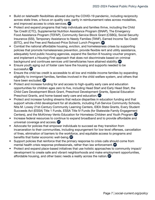- Build on telehealth flexibilities allowed during the COVID-19 pandemic, including reciprocity across state lines, a focus on quality care, parity in reimbursement rates across modalities, and improved access to crisis services. AP
- Protect and expand programs that help individuals and families thrive, including the Child Tax Credit (CTC), Supplemental Nutrition Assistance Program (SNAP), The Emergency Food Assistance Program (TEFAP), Community Service Block Grant (CSBG), Social Security Insurance (SSI), Temporary Assistance to Needy Families (TANF), Earned Income Tax Credit (EITC), and the Free and Reduced-Price School Lunch Program. AP
- Combat the national affordable housing, eviction, and homelessness crises by supporting policies that promote homelessness prevention, provide flexible rent and utility assistance, adequately fund public housing agencies, expand the Section 8 housing voucher program, and implement a Housing First approach that does not discriminate based on criminal background and continues services until beneficiaries have attained stability. AP
- Ensure youth aging out of foster care have the housing and supports needed to be successful. AP
- Ensure the child tax credit is accessible to all low and middle-income families by expanding eligibility to immigrant families, families involved in the child welfare system, and others that have been excluded. AP
- Protect and increase funding for and access to high-quality early care and education opportunities for children ages zero to five, including Head Start and Early Head Start, the Child Care Development Block Grant, Preschool Development Grants, Special Education Preschool Grants, and home-based early care and education. AP
- Protect and increase funding streams that reduce disparities in education funding and that support whole-child development for all students, including Full-Service Community Schools, Nita M. Lowey 21st-Century Community Learning Centers, IDEA State Grants, Every Student Succeeds Act (ESSA) Title 1 Funds, ESSA Title IV Funds (for Statewide Family Engagement Centers), and the McKinney-Vento Education for Homeless Children and Youth Program. AP
- Increase federal resources to continue to expand broadband and to provide affordable and universal coverage and access. AP
- Advocate for policies that empower individuals to succeed as they transition from incarceration to their communities, including expungement for low-level offenses, cancellation of fines, elimination of barriers to the workforce, and equitable access to programs and benefits that foster economic well-being. AP
- Support policies that reinforce that the primary response to crisis calls should come from mental health crisis response professionals, rather than law enforcement. AP
- Protect and expand place-based initiatives that use holistic approaches to community impact/ development to create safe and vibrant neighborhoods and make employment opportunities, affordable housing, and other basic needs a reality across the nation. AP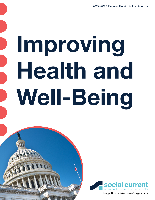# <span id="page-7-0"></span>Improving Health and Well-Being

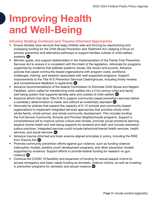## <span id="page-8-0"></span>Improving Health and Well-Being

### Infusing Healing-Centered and Trauma Informed Approaches

- Ensure families have services that keep children safe and thriving by reauthorizing and increasing funding for the Child Abuse Prevention and Treatment Act, keeping a focus on primary prevention and alternative pathways to support families outside of child welfare systems. AL
- Monitor, guide, and support stakeholders in the implementation of the Family First Prevention Services Act to ensure it is consistent with the intent of the legislation. Advocate for programs supported by evidence that address systemic issues, like racism and poverty. Advance policies that assist community-based organizations with program costs, workforce challenges, training, and research associated with well-supported programs. Support improvements to the Title IV-E Prevention Services Clearinghouse, including timely reviews and comprehensive feedback to applicants. AL
- Advance recommendations of the federal Commission to Eliminate Child Abuse and Neglect Fatalities, which called for transforming child welfare into a 21st-century child and family well-being system that supports families early and outside of child welfare. AL
- Advance efforts that allow Title IV-B to support community-based prevention services before a candidacy determination is made, and without an evidentiary standard. AL
- Advocate for policies that expand the capacity of K-12 schools and community-based organizations to implement integrated services approaches that prioritize whole-child, whole-family, whole-school, and whole-community development. This includes funding the Full-Service Community Schools and Promise Neighborhoods programs. Support a comprehensive bill to improve school culture and climate, promote social emotional learning, expand mental health and well-being supports for students and staff, and include restorative justice practices. Integrated services could include behavioral/mental health services, health services, and social services. AL
- Advance trauma-informed and brain science-aligned principles in policy, including the RISE from Trauma Act. **AP**
- Promote community prevention efforts against gun violence, such as funding violence interruption models, positive youth development programs, and other prevention models supported by evidence. Support efforts to provide federal funding for research on gun violence. AP
- Continue the COVID-19 flexibility and expansion of funding for sexual assault victims to access emergency and basic needs funding as domestic violence victims, as well as investing in prevention programs for domestic and sexual violence. AP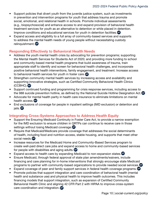- <span id="page-9-0"></span>• Support policies that divert youth from the juvenile justice system, such as investments in prevention and intervention programs for youth that address trauma and promote social, emotional, and relational health in schools. Promote individual assessments (e.g., biopsychosocial) and enhance access to and expand provision of behavioral health treatment services for youth as an alternative to detention or while placed in detention. Improve conditions and educational services for youth in detention facilities. AP
- Expand access and eligibility to a full array of community-based services and supports to address the mental health needs of young people without necessitating custody relinquishment. AP

### Responding Effectively to Behavioral Health Needs

- Address the youth mental health crisis by advocating for prevention programs; supporting the Mental Health Services for Students Act of 2020; and providing more funding to school and community-based mental health programs that build awareness of trauma, train appropriate staff to identify and screen for behavioral health challenges, and incorporate positive behavioral health interventions, family engagement, and treatment. Increase access to behavioral health services for youth in foster care. AP
- Strengthen community mental health services by increasing access and availability and supporting innovative strategies, such as Certified Community Behavioral Health Clinics (CCBHC). AP
- Support continued funding and programming for crisis response services, including access to the 988 suicide prevention hotline, as defined by the National Suicide Hotline Designation Act. <sup>AP</sup>
- Advocate for mental health parity in health care insurance to eliminate limitations on mental health access. AP
- End exclusions of coverage for people in inpatient settings (IMD exclusion) or detention and jails. AP

### Integrating Cross-Systems Approaches to Address Health Equity

- Support the Ensuring Medicaid Continuity in Foster Care Act, to provide a narrow exemption for the IMD exclusion to ensure children in QRTPs can continue to receive care in those settings without losing Medicaid coverage. AP
- Require that Medicaid/Medicare provide coverage that addresses the social determinants of health, including food and nutrition access, stable housing, and supports that meet other social needs. AP
- Increase resources for the Medicaid Home and Community-Based Services program to create well-paid direct care jobs and expand access to home and community-based services for people with disabilities and aging adults. AP
- Expand access to health care by expanding Medicaid to non-expansion states. <sup>AP</sup>
- Ensure Medicaid, through federal approval of state plan amendments/waivers, include financing and care planning for in-home interventions that strongly encourage state Medicaid programs to partner with community-based organizations to provide needed social services. <sup>(AP</sup>
- Expand coverage of peer and family support services in federal health coverage programs.
- Promote policies that support integration and care coordination of behavioral health (mental health and substance use) and physical health to improve health outcomes. This includes financing models that support integration, such as expansion of Certified Community Behavioral Health Clinic and aligning 42 CFR Part 2 with HIPAA to improve cross-system care coordination and integration. AP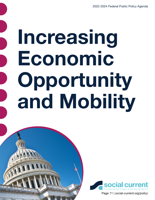# <span id="page-10-0"></span>Increasing Economic Opportunity and Mobility

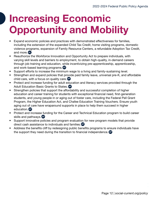## Increasing Economic Opportunity and Mobility

- Expand economic policies and practices with demonstrated effectiveness for families, including the extension of the expanded Child Tax Credit, home visiting programs, domestic violence programs, expansion of Family Resource Centers, a refundable Adoption Tax Credit, and more. AL
- Reauthorize the Workforce Innovation and Opportunity Act to prepare individuals, with varying skill levels and barriers to employment, to obtain high-quality, in-demand careers through job training and education, while incentivizing pre-apprenticeship, apprenticeship, and work-based learning programs. AP
- Support efforts to increase the minimum wage to a living and family-sustaining level.
- Strengthen and expand policies that provide paid family leave, universal pre-K, and affordable child care, with a focus on quality care. AP
- Protect and increase funding for adult education and literacy services provided through the Adult Education Basic Grants to States. AP
- Strengthen policies that support the affordability and successful completion of higher education and career training for students with exceptional financial need, first-generation students, and young people in or aging out of foster care, including the Federal Pell Grant Program, the Higher Education Act, and Chafee Education Training Vouchers. Ensure youth aging out of care have wraparound supports in place to help them succeed in higher education. AP
- Protect and increase funding for the Career and Technical Education program to build career skills and pathways. AP
- Support innovative policies and program evaluation for new program models that provide direct cash assistance to individuals and families. AP
- Address the benefits cliff by redesigning public benefits programs to ensure individuals have the support they need during the transition to financial independence. AP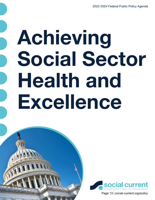# <span id="page-12-0"></span>Achieving Social Sector Health and Excellence

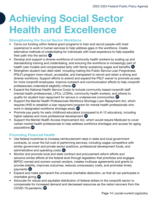## <span id="page-13-0"></span>Achieving Social Sector Health and Excellence

### Strengthening the Social Sector Workforce

- Carve out funding within federal grant programs to train and recruit people with lived experience to work in human services to help address gaps in the workforce. Create alternative methods of credentialing for individuals with lived experience to help expedite their path into the sector. AL
- Develop and support a diverse workforce of community health workers by scaling up and standardizing training and credentialing, and ensuring the workforce is increasingly part of health care models and compensated fairly with family-sustaining wages and benefits.
- Strengthen student loan debt relief, including making the Public Service Loan Forgiveness (PSLF) program more robust, accessible, and transparent to recruit and retain a strong and diverse workforce. Support efforts to extend and expand the PSLF waiver to promote access for more nonprofit employees. Improve outreach and communication efforts to help nonprofit professionals understand eligibility criteria. AP
- Expand the National Health Service Corps to include community-based nonprofit staff (mental health professionals, LPCs, LCSWs, community health workers, and others) to qualify for student loan repayment for service in underserved communities. <sup>AP</sup>
- Support the Mental Health Professionals Workforce Shortage Loan Repayment Act, which requires HHS to establish a loan repayment program for mental health professionals who work in designated workforce shortage areas. AP
- Promote pay parity for early childhood educators (compared to K-12 educators), including higher salaries and more professional development. AP
- Support the Mental Health Access Improvement Act, which would require Medicare to cover certain mental health professionals to help address workforce shortages and access for aging populations. AP

### Promoting Financial Health

- Use federal incentives to increase reimbursement rates in state and local government contracts, to cover the full cost of performing services, including wages competitive with similar government and private sector positions, professional development funds, and administrative and operating costs. AL
- Monitor and promote local and state contract and procurement reform efforts and advance similar efforts at the federal level through legislation that prioritizes and engages BIPOC-owned and women-owned vendors, creates multiyear agreements and grants to provide stability, improves outcomes, reduces unnecessary costs, and promotes timely payments. AL
- Expand and make permanent the universal charitable deduction, so that all can participate in charitable giving. AP
- Advocate for robust and equitable distribution of federal dollars to the nonprofit sector to compensate for increased demand and decreased resources as the nation recovers from the COVID-19 pandemic. AP